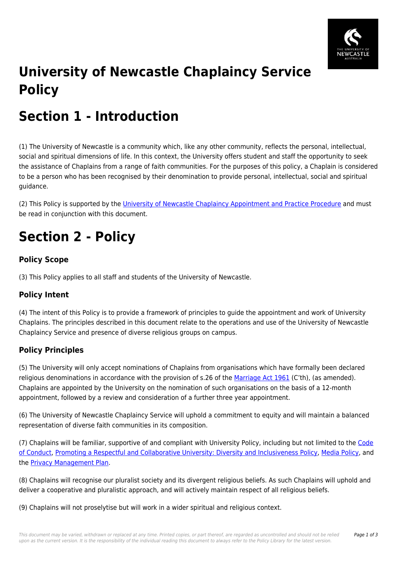

# **University of Newcastle Chaplaincy Service Policy**

## **Section 1 - Introduction**

(1) The University of Newcastle is a community which, like any other community, reflects the personal, intellectual, social and spiritual dimensions of life. In this context, the University offers student and staff the opportunity to seek the assistance of Chaplains from a range of faith communities. For the purposes of this policy, a Chaplain is considered to be a person who has been recognised by their denomination to provide personal, intellectual, social and spiritual guidance.

(2) This Policy is supported by the *University of Newcastle Chaplaincy Appointment and Practice Procedure* and must be read in conjunction with this document.

## **Section 2 - Policy**

## **Policy Scope**

(3) This Policy applies to all staff and students of the University of Newcastle.

### **Policy Intent**

(4) The intent of this Policy is to provide a framework of principles to guide the appointment and work of University Chaplains. The principles described in this document relate to the operations and use of the University of Newcastle Chaplaincy Service and presence of diverse religious groups on campus.

### **Policy Principles**

(5) The University will only accept nominations of Chaplains from organisations which have formally been declared religious denominations in accordance with the provision of s.26 of the [Marriage Act 1961](https://policies.newcastle.edu.au/directory-summary.php?legislation=15) (C'th), (as amended). Chaplains are appointed by the University on the nomination of such organisations on the basis of a 12-month appointment, followed by a review and consideration of a further three year appointment.

(6) The University of Newcastle Chaplaincy Service will uphold a commitment to equity and will maintain a balanced representation of diverse faith communities in its composition.

(7) Chaplains will be familiar, supportive of and compliant with University Policy, including but not limited to the [Code](https://policies.newcastle.edu.au/document/view-current.php?id=204) [of Conduct](https://policies.newcastle.edu.au/document/view-current.php?id=204), [Promoting a Respectful and Collaborative University: Diversity and Inclusiveness Policy](https://policies.newcastle.edu.au/document/view-current.php?id=88), [Media Policy](https://policies.newcastle.edu.au/document/view-current.php?id=107), and the **Privacy Management Plan**.

(8) Chaplains will recognise our pluralist society and its divergent religious beliefs. As such Chaplains will uphold and deliver a cooperative and pluralistic approach, and will actively maintain respect of all religious beliefs.

(9) Chaplains will not proselytise but will work in a wider spiritual and religious context.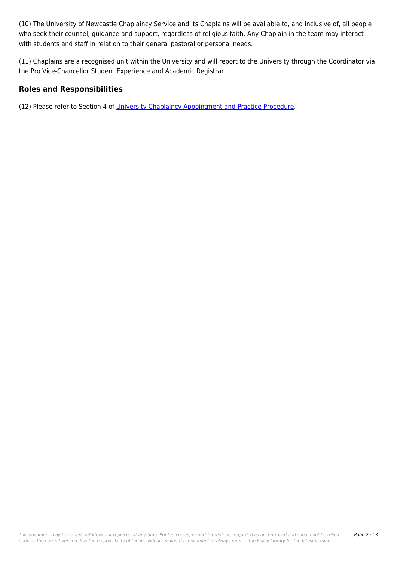(10) The University of Newcastle Chaplaincy Service and its Chaplains will be available to, and inclusive of, all people who seek their counsel, guidance and support, regardless of religious faith. Any Chaplain in the team may interact with students and staff in relation to their general pastoral or personal needs.

(11) Chaplains are a recognised unit within the University and will report to the University through the Coordinator via the Pro Vice-Chancellor Student Experience and Academic Registrar.

#### **Roles and Responsibilities**

(12) Please refer to Section 4 of [University Chaplaincy Appointment and Practice Procedure.](https://policies.newcastle.edu.au/document/view-current.php?id=16)